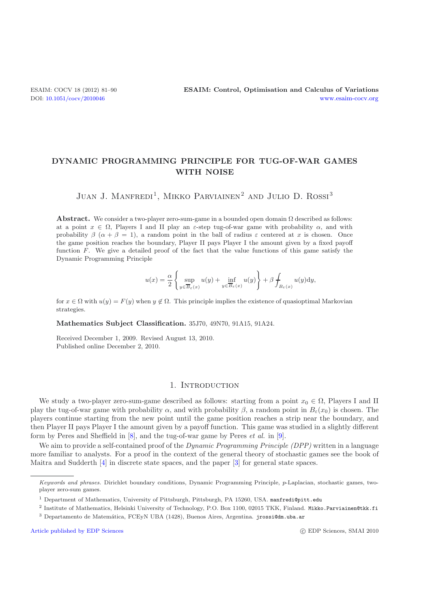# **DYNAMIC PROGRAMMING PRINCIPLE FOR TUG-OF-WAR GAMES WITH NOISE**

JUAN J. MANFREDI<sup>1</sup>, MIKKO PARVIAINEN<sup>2</sup> AND JULIO D. ROSSI<sup>3</sup>

**Abstract.** We consider a two-player zero-sum-game in a bounded open domain  $\Omega$  described as follows: at a point  $x \in \Omega$ , Players I and II play an *ε*-step tug-of-war game with probability  $\alpha$ , and with probability  $\beta$  ( $\alpha + \beta = 1$ ), a random point in the ball of radius  $\varepsilon$  centered at x is chosen. Once the game position reaches the boundary, Player II pays Player I the amount given by a fixed payoff function F. We give a detailed proof of the fact that the value functions of this game satisfy the Dynamic Programming Principle

$$
u(x) = \frac{\alpha}{2} \left\{ \sup_{y \in \overline{B}_{\varepsilon}(x)} u(y) + \inf_{y \in \overline{B}_{\varepsilon}(x)} u(y) \right\} + \beta \int_{B_{\varepsilon}(x)} u(y) dy,
$$

for  $x \in \Omega$  with  $u(y) = F(y)$  when  $y \notin \Omega$ . This principle implies the existence of quasioptimal Markovian strategies.

**Mathematics Subject Classification.** 35J70, 49N70, 91A15, 91A24.

Received December 1, 2009. Revised August 13, 2010. Published online December 2, 2010.

## 1. INTRODUCTION

We study a two-player zero-sum-game described as follows: starting from a point  $x_0 \in \Omega$ , Players I and II play the tug-of-war game with probability  $\alpha$ , and with probability  $\beta$ , a random point in  $B_{\varepsilon}(x_0)$  is chosen. The players continue starting from the new point until the game position reaches a strip near the boundary, and then Player II pays Player I the amount given by a payoff function. This game was studied in a slightly different form by Peres and Sheffield in [\[8\]](#page-9-0), and the tug-of-war game by Peres *et al.* in [\[9](#page-9-1)].

We aim to provide a self-contained proof of the *Dynamic Programming Principle (DPP)* written in a language more familiar to analysts. For a proof in the context of the general theory of stochastic games see the book of Maitra and Sudderth [\[4](#page-9-2)] in discrete state spaces, and the paper [\[3\]](#page-9-3) for general state spaces.

[Article published by EDP Sciences](http://www.edpsciences.org)

*Keywords and phrases.* Dirichlet boundary conditions, Dynamic Programming Principle, *p*-Laplacian, stochastic games, twoplayer zero-sum games.

<sup>1</sup> Department of Mathematics, University of Pittsburgh, Pittsburgh, PA 15260, USA. manfredi@pitt.edu

<sup>&</sup>lt;sup>2</sup> Institute of Mathematics, Helsinki University of Technology, P.O. Box 1100, 02015 TKK, Finland. Mikko.Parviainen@tkk.fi

<sup>3</sup> Departamento de Matem´atica, FCEyN UBA (1428), Buenos Aires, Argentina. jrossi@dm.uba.ar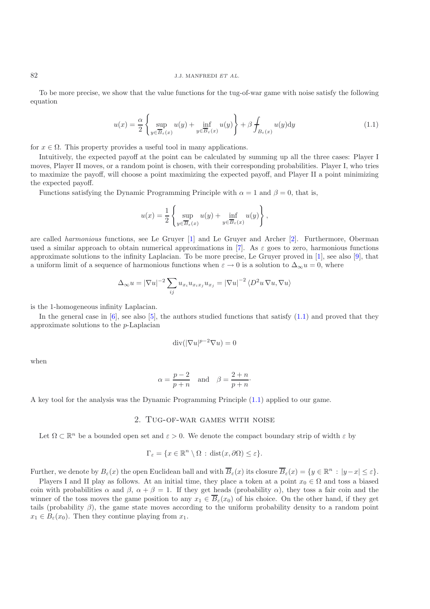## 82 J.J. MANFREDI *ET AL.*

To be more precise, we show that the value functions for the tug-of-war game with noise satisfy the following equation

$$
u(x) = \frac{\alpha}{2} \left\{ \sup_{y \in \overline{B}_{\varepsilon}(x)} u(y) + \inf_{y \in \overline{B}_{\varepsilon}(x)} u(y) \right\} + \beta \int_{B_{\varepsilon}(x)} u(y) dy \tag{1.1}
$$

<span id="page-1-0"></span>for  $x \in \Omega$ . This property provides a useful tool in many applications.

Intuitively, the expected payoff at the point can be calculated by summing up all the three cases: Player I moves, Player II moves, or a random point is chosen, with their corresponding probabilities. Player I, who tries to maximize the payoff, will choose a point maximizing the expected payoff, and Player II a point minimizing the expected payoff.

Functions satisfying the Dynamic Programming Principle with  $\alpha = 1$  and  $\beta = 0$ , that is,

$$
u(x) = \frac{1}{2} \left\{ \sup_{y \in \overline{B}_{\varepsilon}(x)} u(y) + \inf_{y \in \overline{B}_{\varepsilon}(x)} u(y) \right\},\,
$$

are called *harmonious* functions, see Le Gruyer [\[1](#page-9-4)] and Le Gruyer and Archer [\[2\]](#page-9-5). Furthermore, Oberman used a similar approach to obtain numerical approximations in [\[7\]](#page-9-6). As  $\varepsilon$  goes to zero, harmonious functions approximate solutions to the infinity Laplacian. To be more precise, Le Gruyer proved in [\[1\]](#page-9-4), see also [\[9\]](#page-9-1), that a uniform limit of a sequence of harmonious functions when  $\varepsilon \to 0$  is a solution to  $\Delta_{\infty} u = 0$ , where

$$
\Delta_{\infty} u = |\nabla u|^{-2} \sum_{ij} u_{x_i} u_{x_i x_j} u_{x_j} = |\nabla u|^{-2} \langle D^2 u \nabla u, \nabla u \rangle
$$

is the 1-homogeneous infinity Laplacian.

In the general case in  $[6]$  $[6]$ , see also  $[5]$ , the authors studied functions that satisfy  $(1.1)$  and proved that they approximate solutions to the p-Laplacian

$$
\operatorname{div}(|\nabla u|^{p-2}\nabla u) = 0
$$

when

$$
\alpha = \frac{p-2}{p+n}
$$
 and  $\beta = \frac{2+n}{p+n}$ .

A key tool for the analysis was the Dynamic Programming Principle [\(1.1\)](#page-1-0) applied to our game.

### 2. Tug-of-war games with noise

Let  $\Omega \subset \mathbb{R}^n$  be a bounded open set and  $\varepsilon > 0$ . We denote the compact boundary strip of width  $\varepsilon$  by

$$
\Gamma_{\varepsilon} = \{ x \in \mathbb{R}^n \setminus \Omega : \operatorname{dist}(x, \partial \Omega) \le \varepsilon \}.
$$

Further, we denote by  $B_{\varepsilon}(x)$  the open Euclidean ball and with  $\overline{B}_{\varepsilon}(x)$  its closure  $\overline{B}_{\varepsilon}(x) = \{y \in \mathbb{R}^n : |y-x| \le \varepsilon\}.$ 

Players I and II play as follows. At an initial time, they place a token at a point  $x_0 \in \Omega$  and toss a biased coin with probabilities  $\alpha$  and  $\beta$ ,  $\alpha + \beta = 1$ . If they get heads (probability  $\alpha$ ), they toss a fair coin and the winner of the toss moves the game position to any  $x_1 \in \overline{B}_{\varepsilon}(x_0)$  of his choice. On the other hand, if they get tails (probability  $\beta$ ), the game state moves according to the uniform probability density to a random point  $x_1 \in B_\varepsilon(x_0)$ . Then they continue playing from  $x_1$ .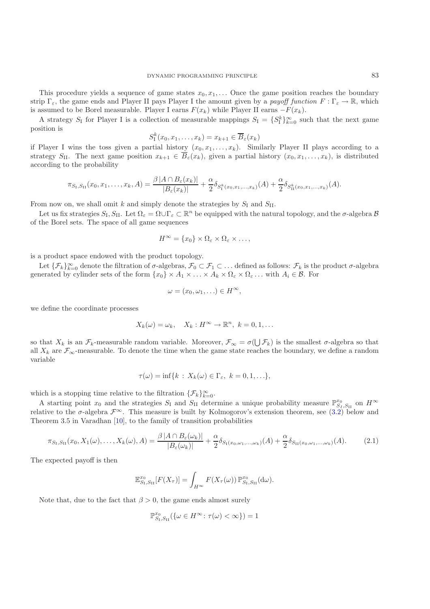This procedure yields a sequence of game states  $x_0, x_1, \ldots$  Once the game position reaches the boundary strip  $\Gamma_{\varepsilon}$ , the game ends and Player II pays Player I the amount given by a *payoff function*  $F : \Gamma_{\varepsilon} \to \mathbb{R}$ , which is assumed to be Borel measurable. Player I earns  $F(x_k)$  while Player II earns  $-F(x_k)$ .

A strategy  $S_I$  for Player I is a collection of measurable mappings  $S_I = \{S_I^k\}_{k=0}^\infty$  such that the next game position is

$$
S_1^k(x_0, x_1, \dots, x_k) = x_{k+1} \in \overline{B}_{\varepsilon}(x_k)
$$

if Player I wins the toss given a partial history  $(x_0, x_1, \ldots, x_k)$ . Similarly Player II plays according to a strategy S<sub>II</sub>. The next game position  $x_{k+1} \in \overline{B}_{\varepsilon}(x_k)$ , given a partial history  $(x_0, x_1, \ldots, x_k)$ , is distributed according to the probability

$$
\pi_{S_{\text{I}},S_{\text{II}}}(x_0,x_1,\ldots,x_k,A)=\frac{\beta|A\cap B_{\varepsilon}(x_k)|}{|B_{\varepsilon}(x_k)|}+\frac{\alpha}{2}\delta_{S_{\text{I}}^k(x_0,x_1,\ldots,x_k)}(A)+\frac{\alpha}{2}\delta_{S_{\text{II}}^k(x_0,x_1,\ldots,x_k)}(A).
$$

From now on, we shall omit k and simply denote the strategies by  $S_I$  and  $S_{II}$ .

Let us fix strategies  $S_I$ ,  $S_{II}$ . Let  $\Omega_{\varepsilon} = \Omega \cup \Gamma_{\varepsilon} \subset \mathbb{R}^n$  be equipped with the natural topology, and the  $\sigma$ -algebra  $\mathcal B$ of the Borel sets. The space of all game sequences

$$
H^{\infty} = \{x_0\} \times \Omega_{\varepsilon} \times \Omega_{\varepsilon} \times \ldots,
$$

is a product space endowed with the product topology.

Let  $\{\mathcal{F}_k\}_{k=0}^{\infty}$  denote the filtration of  $\sigma$ -algebras,  $\mathcal{F}_0 \subset \mathcal{F}_1 \subset \ldots$  defined as follows:  $\mathcal{F}_k$  is the product  $\sigma$ -algebra generated by cylinder sets of the form  $\{x_0\} \times A_1 \times \ldots \times A_k \times \Omega_{\varepsilon} \times \Omega_{\varepsilon} \ldots$  with  $A_i \in \mathcal{B}$ . For

$$
\omega = (x_0, \omega_1, \ldots) \in H^{\infty},
$$

we define the coordinate processes

$$
X_k(\omega) = \omega_k, \quad X_k : H^{\infty} \to \mathbb{R}^n, \ k = 0, 1, \dots
$$

so that  $X_k$  is an  $\mathcal{F}_k$ -measurable random variable. Moreover,  $\mathcal{F}_{\infty} = \sigma(\bigcup \mathcal{F}_k)$  is the smallest  $\sigma$ -algebra so that all  $X_k$  are  $\mathcal{F}_{\infty}$ -measurable. To denote the time when the game state reaches the boundary, we define a random variable

$$
\tau(\omega)=\inf\{k\,:\,X_k(\omega)\in\Gamma_{\varepsilon},\ k=0,1,\ldots\},\
$$

which is a stopping time relative to the filtration  $\{\mathcal{F}_k\}_{k=0}^{\infty}$ .

A starting point  $x_0$  and the strategies  $S_I$  and  $S_{II}$  determine a unique probability measure  $\mathbb{P}_{S_I,S_{II}}^{x_0}$  on  $H^{\infty}$ relative to the  $\sigma$ -algebra  $\mathcal{F}^{\infty}$ . This measure is built by Kolmogorov's extension theorem, see [\(3.2\)](#page-3-0) below and Theorem 3.5 in Varadhan [\[10](#page-9-9)], to the family of transition probabilities

$$
\pi_{S_{\mathrm{I}},S_{\mathrm{II}}}(x_0,X_1(\omega),\ldots,X_k(\omega),A) = \frac{\beta |A \cap B_{\varepsilon}(\omega_k)|}{|B_{\varepsilon}(\omega_k)|} + \frac{\alpha}{2} \delta_{S_{\mathrm{I}}(x_0,\omega_1,\ldots,\omega_k)}(A) + \frac{\alpha}{2} \delta_{S_{\mathrm{II}}(x_0,\omega_1,\ldots,\omega_k)}(A). \tag{2.1}
$$

<span id="page-2-0"></span>The expected payoff is then

$$
\mathbb{E}_{S_{\rm I},S_{\rm II}}^{x_{0}}[F(X_{\tau})]=\int_{H^{\infty}}F(X_{\tau}(\omega))\,\mathbb{P}_{S_{\rm I},S_{\rm II}}^{x_{0}}(\mathrm{d}\omega).
$$

Note that, due to the fact that  $\beta > 0$ , the game ends almost surely

$$
\mathbb{P}^{x_0}_{S_{\text{I}},S_{\text{II}}}(\{\omega \in H^\infty \colon \tau(\omega) < \infty\}) = 1
$$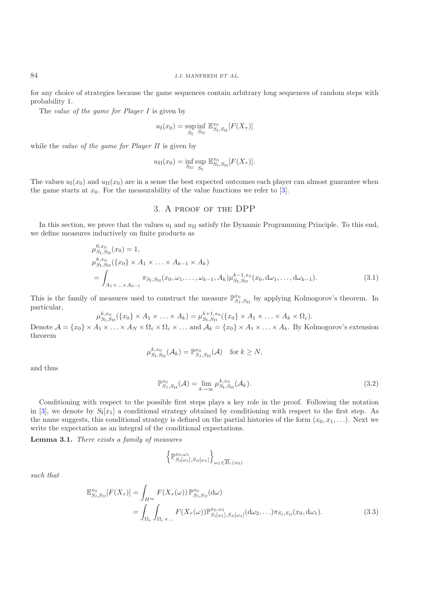for any choice of strategies because the game sequences contain arbitrary long sequences of random steps with probability 1.

The *value of the game for Player I* is given by

$$
u_{\rm I}(x_0) = \sup_{S_{\rm I}} \inf_{S_{\rm II}} \mathbb{E}_{S_{\rm I},S_{\rm II}}^{x_0}[F(X_{\tau})]
$$

while the *value of the game for Player II* is given by

$$
u_{\text{II}}(x_0) = \inf_{S_{\text{II}}} \sup_{S_{\text{I}}} \mathbb{E}_{S_{\text{I}},S_{\text{II}}}^{x_0}[F(X_{\tau})].
$$

The values  $u_1(x_0)$  and  $u_{II}(x_0)$  are in a sense the best expected outcomes each player can almost guarantee when the game starts at  $x_0$ . For the measurability of the value functions we refer to [\[3\]](#page-9-3).

## 3. A proof of the DPP

In this section, we prove that the values  $u_I$  and  $u_{II}$  satisfy the Dynamic Programming Principle. To this end, we define measures inductively on finite products as

$$
\mu_{S_{\rm I},S_{\rm II}}^{0,x_{0}}(x_{0}) = 1,\n\mu_{S_{\rm I},S_{\rm II}}^{k,x_{0}}(\{x_{0}\} \times A_{1} \times ... \times A_{k-1} \times A_{k})\n= \int_{A_{1} \times ... \times A_{k-1}} \pi_{S_{\rm I},S_{\rm II}}(x_{0},\omega_{1},...,\omega_{k-1},A_{k}) \mu_{S_{\rm I},S_{\rm II}}^{k-1,x_{0}}(x_{0},d\omega_{1},...,d\omega_{k-1}).
$$
\n(3.1)

<span id="page-3-2"></span>This is the family of measures used to construct the measure  $\mathbb{P}_{S_I,S_{II}}^{x_0}$  by applying Kolmogorov's theorem. In particular,

$$
\mu_{S_{\rm I},S_{\rm II}}^{k,x_0}(\{x_0\}\times A_1\times\ldots\times A_k)=\mu_{S_{\rm I},S_{\rm II}}^{k+1,x_0}(\{x_0\}\times A_1\times\ldots\times A_k\times\Omega_{\varepsilon}).
$$

Denote  $\mathcal{A} = \{x_0\} \times A_1 \times \ldots \times A_N \times \Omega_{\varepsilon} \times \Omega_{\varepsilon} \times \ldots$  and  $\mathcal{A}_k = \{x_0\} \times A_1 \times \ldots \times A_k$ . By Kolmogorov's extension theorem

$$
\mu_{S_{\mathrm{I}},S_{\mathrm{II}}}^{k,x_0}(\mathcal{A}_k)=\mathbb{P}_{S_{\mathrm{I}},S_{\mathrm{II}}}^{x_0}(\mathcal{A}) \quad \text{for } k\geq N,
$$

and thus

$$
\mathbb{P}_{S_I,S_{II}}^{x_0}(\mathcal{A}) = \lim_{k \to \infty} \mu_{S_I,S_{II}}^{k,x_0}(\mathcal{A}_k). \tag{3.2}
$$

<span id="page-3-0"></span>Conditioning with respect to the possible first steps plays a key role in the proof. Following the notation in [\[3](#page-9-3)], we denote by  $S_I[x_1]$  a conditional strategy obtained by conditioning with respect to the first step. As the name suggests, this conditional strategy is defined on the partial histories of the form  $(x_0, x_1, \ldots)$ . Next we write the expectation as an integral of the conditional expectations.

<span id="page-3-1"></span>**Lemma 3.1.** *There exists a family of measures*

$$
\left\{\mathbb{P}_{S_I[\omega_1],S_{II}[\omega_1]}^{x_0,\omega_1}\right\}_{\omega_1\in\overline{B}_{\varepsilon}(x_0)}
$$

<span id="page-3-3"></span>*such that*

$$
\mathbb{E}_{S_l,S_{ll}}^{x_0}[F(X_{\tau})] = \int_{H^{\infty}} F(X_{\tau}(\omega)) \mathbb{P}_{S_l,S_{ll}}^{x_0}(\mathrm{d}\omega)
$$
  
= 
$$
\int_{\Omega_{\varepsilon}} \int_{\Omega_{\varepsilon} \times \dots} F(X_{\tau}(\omega)) \mathbb{P}_{S_l[\omega_1],S_{ll}[\omega_1]}^{x_0,\omega_1}(\mathrm{d}\omega_2,\dots)\pi_{S_l,S_{ll}}(x_0,\mathrm{d}\omega_1).
$$
 (3.3)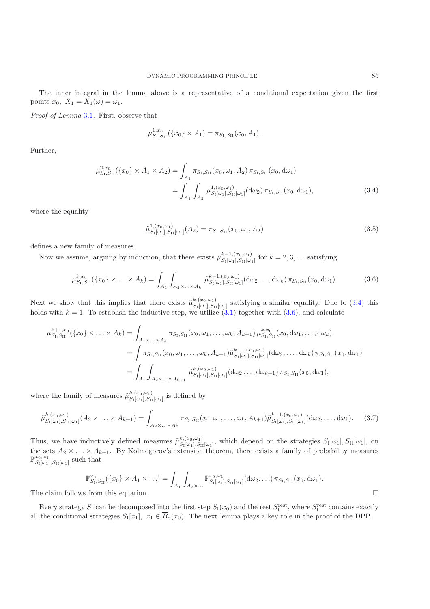The inner integral in the lemma above is a representative of a conditional expectation given the first points  $x_0$ ,  $X_1 = X_1(\omega) = \omega_1$ .

*Proof of Lemma* [3.1](#page-3-1)*.* First, observe that

$$
\mu_{S_{\rm I},S_{\rm II}}^{1,x_0}(\{x_0\}\times A_1)=\pi_{S_{\rm I},S_{\rm II}}(x_0,A_1).
$$

<span id="page-4-0"></span>Further,

$$
\mu_{S_{\rm I},S_{\rm II}}^{2,x_{0}}(\{x_{0}\} \times A_{1} \times A_{2}) = \int_{A_{1}} \pi_{S_{\rm I},S_{\rm II}}(x_{0},\omega_{1},A_{2}) \pi_{S_{\rm I},S_{\rm II}}(x_{0},\mathrm{d}\omega_{1})
$$

$$
= \int_{A_{1}} \int_{A_{2}} \tilde{\mu}_{S_{\rm I}[\omega_{1}],S_{\rm II}[\omega_{1}]}(\mathrm{d}\omega_{2}) \pi_{S_{\rm I},S_{\rm II}}(x_{0},\mathrm{d}\omega_{1}), \tag{3.4}
$$

where the equality

$$
\tilde{\mu}_{S_{\rm I}[\omega_1], S_{\rm II}[\omega_1]}^{1,(x_0,\omega_1)}(A_2) = \pi_{S_{\rm I},S_{\rm II}}(x_0,\omega_1,A_2) \tag{3.5}
$$

<span id="page-4-3"></span>defines a new family of measures.

Now we assume, arguing by induction, that there exists  $\tilde{\mu}_{S_{I}[\omega_{1}],S_{II}[\omega_{1}]}^{k-1,(x_{0},\omega_{1})}$  for  $k=2,3,...$  satisfying

$$
\mu_{S_{\rm I},S_{\rm II}}^{k,x_0}(\{x_0\} \times \ldots \times A_k) = \int_{A_1} \int_{A_2 \times \ldots \times A_k} \tilde{\mu}_{S_{\rm I}[\omega_1],S_{\rm II}[\omega_1]}^{k-1,(x_0,\omega_1)}(\mathrm{d}\omega_2 \ldots,\mathrm{d}\omega_k) \pi_{S_{\rm I},S_{\rm II}}(x_0,\mathrm{d}\omega_1). \tag{3.6}
$$

<span id="page-4-1"></span>Next we show that this implies that there exists  $\tilde{\mu}_{S_{\text{I}}[\omega_1],S_{\text{II}}[\omega_1]}^{k,(x_0,\omega_1)}$  satisfying a similar equality. Due to [\(3.4\)](#page-4-0) this holds with  $k = 1$ . To establish the inductive step, we utilize  $(3.1)$  together with  $(3.6)$ , and calculate

$$
\mu_{S_{\rm I},S_{\rm II}}^{k+1,x_{0}}(\lbrace x_{0}\rbrace \times \ldots \times A_{k}) = \int_{A_{1} \times \ldots \times A_{k}} \pi_{S_{\rm I},S_{\rm II}}(x_{0},\omega_{1},\ldots,\omega_{k},A_{k+1}) \mu_{S_{\rm I},S_{\rm II}}^{k,x_{0}}(x_{0},\mathrm{d}\omega_{1},\ldots,\mathrm{d}\omega_{k})
$$
\n
$$
= \int \pi_{S_{\rm I},S_{\rm II}}(x_{0},\omega_{1},\ldots,\omega_{k},A_{k+1}) \tilde{\mu}_{S_{\rm I}[\omega_{1}],S_{\rm II}[\omega_{1}]}^{k-1,(x_{0},\omega_{1})}(\mathrm{d}\omega_{2},\ldots,\mathrm{d}\omega_{k}) \pi_{S_{\rm I},S_{\rm II}}(x_{0},\mathrm{d}\omega_{1})
$$
\n
$$
= \int_{A_{1}} \int_{A_{2} \times \ldots \times A_{k+1}} \tilde{\mu}_{S_{\rm I}[\omega_{1}],S_{\rm II}[\omega_{1}]}^{k,(x_{0},\omega_{1})}(\mathrm{d}\omega_{2}\ldots,\mathrm{d}\omega_{k+1}) \pi_{S_{\rm I},S_{\rm II}}(x_{0},\mathrm{d}\omega_{1}),
$$

where the family of measures  $\tilde{\mu}_{S_{\text{I}}[\omega_1],S_{\text{II}}[\omega_1]}^{k,(x_0,\omega_1)}$  is defined by

$$
\tilde{\mu}_{S_{\mathrm{I}}[\omega_{1}],S_{\mathrm{II}}[\omega_{1}]}^{k,(x_{0},\omega_{1})}(A_{2}\times\ldots\times A_{k+1})=\int_{A_{2}\times\ldots\times A_{k}}\pi_{S_{\mathrm{I}},S_{\mathrm{II}}}(x_{0},\omega_{1},\ldots,\omega_{k},A_{k+1})\tilde{\mu}_{S_{\mathrm{I}}[\omega_{1}],S_{\mathrm{II}}[\omega_{1}]}^{k-1,(x_{0},\omega_{1})}(\mathrm{d}\omega_{2},\ldots,\mathrm{d}\omega_{k}).
$$
 (3.7)

<span id="page-4-4"></span>Thus, we have inductively defined measures  $\tilde{\mu}_{S_{\text{I}}[\omega_1],S_{\text{II}}[\omega_1]}^{k,(x_0,\omega_1)}$ , which depend on the strategies  $S_{\text{I}}[\omega_1],S_{\text{II}}[\omega_1]$ , on the sets  $A_2 \times \ldots \times A_{k+1}$ . By Kolmogorov's extension theorem, there exists a family of probability measures  $\mathbb{P}^{x_0,\omega_1}_{S_{\text{I}}[\omega_1],S_{\text{II}}[\omega_1]}$  such that

$$
\mathbb{P}_{S_{\rm I},S_{\rm II}}^{x_{0}}(\{x_{0}\} \times A_{1} \times ...)=\int_{A_{1}}\int_{A_{2} \times ...} \mathbb{P}_{S_{\rm I}[\omega_{1}],S_{\rm II}[\omega_{1}]}^{x_{0},\omega_{1}}(\mathrm{d}\omega_{2},...)\,\pi_{S_{\rm I},S_{\rm II}}(x_{0},\mathrm{d}\omega_{1}).
$$
\nfrom this equation

The claim follows from this equation.

<span id="page-4-2"></span>Every strategy  $S_I$  can be decomposed into the first step  $S_I(x_0)$  and the rest  $S_I^{\text{rest}}$ , where  $S_I^{\text{rest}}$  contains exactly all the conditional strategies  $S_I[x_1], x_1 \in \overline{B}_{\varepsilon}(x_0)$ . The next lemma plays a key role in the proof of the DPP.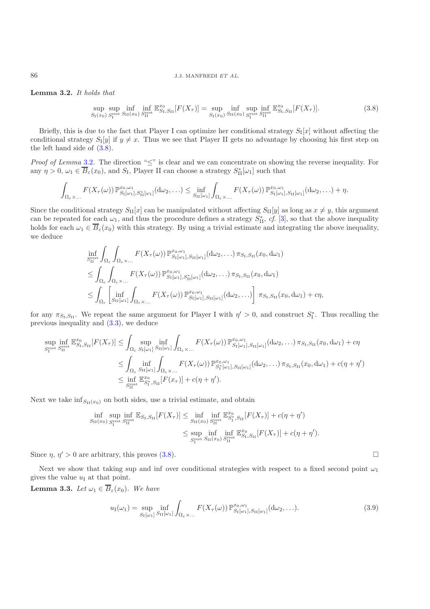## 86 J.J. MANFREDI *ET AL.*

<span id="page-5-0"></span>**Lemma 3.2.** *It holds that*

$$
\sup_{S_{\rm I}(x_0)} \sup_{S_{\rm I}^{\rm rest}} \inf_{S_{\rm II}(x_0)} \inf_{S_{\rm II}^{\rm rest}} \mathbb{E}_{S_{\rm I},S_{\rm II}}^{\mathcal{X}_0}[F(X_{\tau})] = \sup_{S_{\rm I}(x_0)} \inf_{S_{\rm II}(x_0)} \sup_{S_{\rm I}^{\rm rest}} \mathbb{E}_{S_{\rm I},S_{\rm II}}^{\mathcal{X}_0}[F(X_{\tau})]. \tag{3.8}
$$

Briefly, this is due to the fact that Player I can optimize her conditional strategy  $S_I[x]$  without affecting the conditional strategy  $S_I[y]$  if  $y \neq x$ . Thus we see that Player II gets no advantage by choosing his first step on the left hand side of [\(3.8\)](#page-5-0).

*Proof of Lemma* [3.2](#page-4-2). The direction "≤" is clear and we can concentrate on showing the reverse inequality. For any  $\eta > 0$ ,  $\omega_1 \in \overline{B}_{\varepsilon}(x_0)$ , and  $S_I$ , Player II can choose a strategy  $S_{\text{II}}^*[\omega_1]$  such that

$$
\int_{\Omega_{\varepsilon}\times\ldots} F(X_{\tau}(\omega)) \, \mathbb{P}^{x_0,\omega_1}_{S_{\mathcal{I}}[\omega_1],S^*_{\mathcal{II}}[\omega_1]}(\mathrm{d}\omega_2,\ldots) \leq \inf_{S_{\mathcal{II}}[\omega_1]} \int_{\Omega_{\varepsilon}\times\ldots} F(X_{\tau}(\omega)) \, \mathbb{P}^{x_0,\omega_1}_{S_{\mathcal{I}}[\omega_1],S_{\mathcal{II}}[\omega_1]}(\mathrm{d}\omega_2,\ldots) + \eta.
$$

Since the conditional strategy  $S_{\text{II}}[x]$  can be manipulated without affecting  $S_{\text{II}}[y]$  as long as  $x \neq y$ , this argument can be repeated for each  $\omega_1$ , and thus the procedure defines a strategy  $S_{\text{II}}^*$ , *cf.* [\[3](#page-9-3)], so that the above inequality holds for each  $\omega_1 \in \overline{B}_{\varepsilon}(x_0)$  with this strategy. By using a trivial estimate and integrating the above inequality, we deduce

$$
\inf_{S_{\text{II}}^{\text{rest}}} \int_{\Omega_{\varepsilon}} \int_{\Omega_{\varepsilon}} F(X_{\tau}(\omega)) \mathbb{P}_{S_{\text{I}}[\omega_{1}],S_{\text{II}}[\omega_{1}]}^{x_{0},\omega_{1}}(\text{d}\omega_{2},\ldots)\pi_{S_{\text{I}},S_{\text{II}}}(x_{0},\text{d}\omega_{1})
$$
\n
$$
\leq \int_{\Omega_{\varepsilon}} \int_{\Omega_{\varepsilon} \times \ldots} F(X_{\tau}(\omega)) \mathbb{P}_{S_{\text{I}}[\omega_{1}],S_{\text{II}}^{\mathbb{X}}[\omega_{1}]}(\text{d}\omega_{2},\ldots)\pi_{S_{\text{I}},S_{\text{II}}}(x_{0},\text{d}\omega_{1})
$$
\n
$$
\leq \int_{\Omega_{\varepsilon}} \left[ \inf_{S_{\text{II}}[\omega_{1}]} \int_{\Omega_{\varepsilon} \times \ldots} F(X_{\tau}(\omega)) \mathbb{P}_{S_{\text{I}}[\omega_{1}],S_{\text{II}}[\omega_{1}]}^{x_{0},\omega_{1}}(\text{d}\omega_{2},\ldots) \right] \pi_{S_{\text{I}},S_{\text{II}}}(x_{0},\text{d}\omega_{1}) + c\eta,
$$

for any  $\pi_{S_I,S_{II}}$ . We repeat the same argument for Player I with  $\eta' > 0$ , and construct  $S_I^*$ . Thus recalling the previous inequality and [\(3.3\)](#page-3-3), we deduce

$$
\sup_{S_{\mathrm{I}}^{\mathrm{rest}}} \inf_{S_{\mathrm{II}}^{\mathrm{rest}}} \mathbb{E}_{S_{\mathrm{I}},S_{\mathrm{II}}}^{x_0}[F(X_{\tau})] \leq \int_{\Omega_{\varepsilon}} \sup_{S_{\mathrm{I}}[\omega_1]} \inf_{S_{\mathrm{II}}[\omega_1]} \int_{\Omega_{\varepsilon} \times \dots} F(X_{\tau}(\omega)) \mathbb{P}_{S_{\mathrm{I}}[\omega_1],S_{\mathrm{II}}[\omega_1]}^{x_0,\omega_1}(\mathrm{d}\omega_2,\dots)\pi_{S_{\mathrm{I}},S_{\mathrm{II}}}(x_0,\mathrm{d}\omega_1) + c\eta
$$
\n
$$
\leq \int_{\Omega_{\varepsilon}} \inf_{S_{\mathrm{II}}[\omega_1]} \int_{\Omega_{\varepsilon} \times \dots} F(X_{\tau}(\omega)) \mathbb{P}_{S_{\mathrm{I}}^*(\omega_1],S_{\mathrm{II}}[\omega_1]}^{x_0,\omega_1}(\mathrm{d}\omega_2,\dots)\pi_{S_{\mathrm{I}},S_{\mathrm{II}}}(x_0,\mathrm{d}\omega_1) + c(\eta + \eta')
$$
\n
$$
\leq \inf_{S_{\mathrm{II}}^{\mathrm{rest}}} \mathbb{E}_{S_{\mathrm{I}}^*(S_{\mathrm{II}}]}^{x_0}[F(x_{\tau})] + c(\eta + \eta').
$$

Next we take  $\inf_{S_{\text{II}}(x_0)}$  on both sides, use a trivial estimate, and obtain

$$
\inf_{S_{\Pi}(x_0)} \sup_{S_1^{\text{rest}}} \inf_{S_{\Pi}^{\text{rest}}} \mathbb{E}_{S_{\Pi},S_{\Pi}}[F(X_{\tau})] \le \inf_{S_{\Pi}(x_0)} \inf_{S_{\Pi}^{\text{rest}}} \mathbb{E}_{S_{\Pi}^*,S_{\Pi}}^{x_0}[F(X_{\tau})] + c(\eta + \eta')
$$
\n
$$
\le \sup_{S_1^{\text{rest}}} \inf_{S_{\Pi}(x_0)} \sup_{S_{\Pi}^{\text{rest}}} \mathbb{E}_{S_{\Pi},S_{\Pi}}^{x_0}[F(X_{\tau})] + c(\eta + \eta').
$$

Since  $\eta$ ,  $\eta' > 0$  are arbitrary, this proves [\(3.8\)](#page-5-0).

Next we show that taking sup and inf over conditional strategies with respect to a fixed second point  $\omega_1$ gives the value  $u_I$  at that point.

<span id="page-5-1"></span>**Lemma 3.3.** *Let*  $\omega_1 \in \overline{B}_{\varepsilon}(x_0)$ *. We have* 

$$
u_{\mathrm{I}}(\omega_1) = \sup_{S_{\mathrm{I}}[\omega_1]} \inf_{S_{\mathrm{II}}[\omega_1]} \int_{\Omega_{\varepsilon} \times \dots} F(X_{\tau}(\omega)) \, \mathbb{P}_{S_{\mathrm{I}}[\omega_1], S_{\mathrm{II}}[\omega_1]}^{x_0, \omega_1}(\mathrm{d}\omega_2, \dots). \tag{3.9}
$$

 $\Box$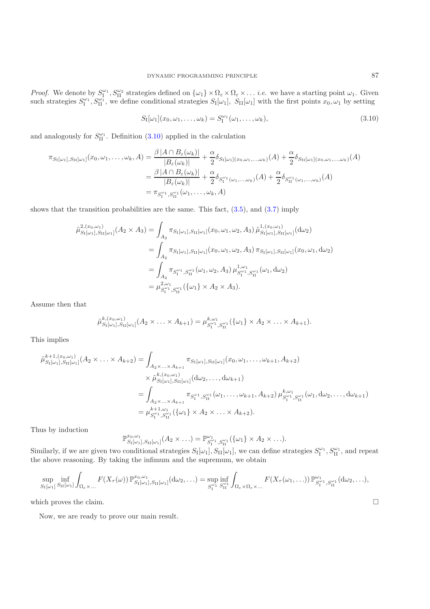*Proof.* We denote by  $S_1^{\omega_1}$ ,  $S_{II}^{\omega_2}$  strategies defined on  $\{\omega_1\} \times \Omega_{\varepsilon} \times \Omega_{\varepsilon} \times \ldots$  *i.e.* we have a starting point  $\omega_1$ . Given such strategies  $S_1^{\omega_1}$ ,  $S_{II}^{\omega_1}$ , we define conditional strategies  $S_I[\omega_1]$ ,  $S_{II}[\omega_1]$  with the first points  $x_0, \omega_1$  by setting

$$
S_{\mathrm{I}}[\omega_{1}](x_{0},\omega_{1},\ldots,\omega_{k})=S_{\mathrm{I}}^{\omega_{1}}(\omega_{1},\ldots,\omega_{k}),
$$
\n(3.10)

<span id="page-6-0"></span>and analogously for  $S_{\text{II}}^{\omega_1}$ . Definition [\(3.10\)](#page-6-0) applied in the calculation

$$
\pi_{S_{\mathrm{I}}[\omega_{1}],S_{\mathrm{II}}[\omega_{1}]}(x_{0},\omega_{1},\ldots,\omega_{k},A) = \frac{\beta |A \cap B_{\varepsilon}(\omega_{k})|}{|B_{\varepsilon}(\omega_{k})|} + \frac{\alpha}{2} \delta_{S_{\mathrm{I}}[\omega_{1}](x_{0},\omega_{1},\ldots,\omega_{k})}(A) + \frac{\alpha}{2} \delta_{S_{\mathrm{II}}[\omega_{1}](x_{0},\omega_{1},\ldots,\omega_{k})}(A)
$$

$$
= \frac{\beta |A \cap B_{\varepsilon}(\omega_{k})|}{|B_{\varepsilon}(\omega_{k})|} + \frac{\alpha}{2} \delta_{S_{\mathrm{I}}^{\omega_{1}}(\omega_{1},\ldots,\omega_{k})}(A) + \frac{\alpha}{2} \delta_{S_{\mathrm{II}}^{\omega_{1}}(\omega_{1},\ldots,\omega_{k})}(A)
$$

$$
= \pi_{S_{\mathrm{I}}^{\omega_{1}},S_{\mathrm{II}}^{\omega_{1}}}(\omega_{1},\ldots,\omega_{k},A)
$$

shows that the transition probabilities are the same. This fact,  $(3.5)$ , and  $(3.7)$  imply

$$
\tilde{\mu}_{S_{\text{I}}[\omega_{1}],S_{\text{II}}[\omega_{1}]}^{2,(x_{0},\omega_{1})}(A_{2} \times A_{3}) = \int_{A_{2}} \pi_{S_{\text{I}}[\omega_{1}],S_{\text{II}}[\omega_{1}]}(x_{0},\omega_{1},\omega_{2},A_{3}) \tilde{\mu}_{S_{\text{I}}[\omega_{1}],S_{\text{II}}[\omega_{1}]}^{1,(x_{0},\omega_{1})}(d\omega_{2})
$$
\n
$$
= \int_{A_{2}} \pi_{S_{\text{I}}[\omega_{1}],S_{\text{II}}[\omega_{1}]}(x_{0},\omega_{1},\omega_{2},A_{3}) \pi_{S_{\text{I}}[\omega_{1}],S_{\text{II}}[\omega_{1}]}(x_{0},\omega_{1},d\omega_{2})
$$
\n
$$
= \int_{A_{2}} \pi_{S_{\text{I}}^{\omega_{1}},S_{\text{II}}^{\omega_{1}}}(\omega_{1},\omega_{2},A_{3}) \mu_{S_{\text{I}}^{\omega_{1}},S_{\text{II}}^{\omega_{1}}}^{1,\omega_{1}}(\omega_{1},d\omega_{2})
$$
\n
$$
= \mu_{S_{\text{I}}^{\omega_{1}},S_{\text{II}}^{\omega_{1}}}^{2,\omega_{1}}(\{\omega_{1}\} \times A_{2} \times A_{3}).
$$

Assume then that

$$
\tilde{\mu}_{S_{\mathrm{I}}[\omega_1],S_{\mathrm{II}}[\omega_1]}^{k,(x_0,\omega_1)}(A_2 \times \ldots \times A_{k+1}) = \mu_{S_1^{\omega_1},S_{\mathrm{II}}^{\omega_1}}^{k,\omega_1}(\{\omega_1\} \times A_2 \times \ldots \times A_{k+1}).
$$

This implies

$$
\tilde{\mu}_{S_{\text{I}}[\omega_{1}],S_{\text{II}}[\omega_{1}]}^{k+1,(x_{0},\omega_{1})}(A_{2} \times \ldots \times A_{k+2}) = \int_{A_{2} \times \ldots \times A_{k+1}} \pi_{S_{\text{I}}[\omega_{1}],S_{\text{II}}[\omega_{1}]}(x_{0},\omega_{1},\ldots,\omega_{k+1},A_{k+2})
$$
\n
$$
\times \tilde{\mu}_{S_{\text{I}}[\omega_{1}],S_{\text{II}}[\omega_{1}]}^{k,(x_{0},\omega_{1})}(d\omega_{2},\ldots,d\omega_{k+1})
$$
\n
$$
= \int_{A_{2} \times \ldots \times A_{k+1}} \pi_{S_{\text{I}}^{\omega_{1}},S_{\text{II}}^{\omega_{1}}}(\omega_{1},\ldots,\omega_{k+1},A_{k+2}) \mu_{S_{\text{I}}^{\omega_{1}},S_{\text{II}}^{\omega_{1}}}^{k,\omega_{1}}(\omega_{1},d\omega_{2},\ldots,d\omega_{k+1})
$$
\n
$$
= \mu_{S_{\text{I}}^{\omega_{1}},S_{\text{II}}^{\omega_{1}}}^{k+1,\omega_{1}}(\{\omega_{1}\} \times A_{2} \times \ldots \times A_{k+2}).
$$

Thus by induction

$$
\mathbb{P}^{x_0,\omega_1}_{S_1[\omega_1],S_{11}[\omega_1]}(A_2 \times ...)=\mathbb{P}^{\omega_1}_{S_1^{\omega_1},S_{11}^{\omega_1}}(\{\omega_1\} \times A_2 \times ...).
$$

Similarly, if we are given two conditional strategies  $S_I[\omega_1], S_{II}[\omega_1]$ , we can define strategies  $S_I^{\omega_1}, S_{II}^{\omega_1}$ , and repeat the above reasoning. By taking the infimum and the supremum, we obtain

$$
\sup_{S_{\mathrm{I}}[\omega_1]} \inf_{S_{\mathrm{II}}[\omega_1]} \int_{\Omega_{\varepsilon} \times \dots} F(X_{\tau}(\omega)) \mathbb{P}_{S_{\mathrm{I}}[\omega_1], S_{\mathrm{II}}[\omega_1]}^{\omega_0, \omega_1}(\mathrm{d}\omega_2, \dots) = \sup_{S_{\mathrm{I}}^{\omega_1}} \inf_{S_{\mathrm{II}}^{\omega_1}} \int_{\Omega_{\varepsilon} \times \Omega_{\varepsilon} \times \dots} F(X_{\tau}(\omega_1, \dots)) \mathbb{P}_{S_{\mathrm{I}}^{\omega_1}, S_{\mathrm{II}}^{\omega_1}}^{\omega_1}(\mathrm{d}\omega_2, \dots),
$$

which proves the claim.

Now, we are ready to prove our main result.

 $\Box$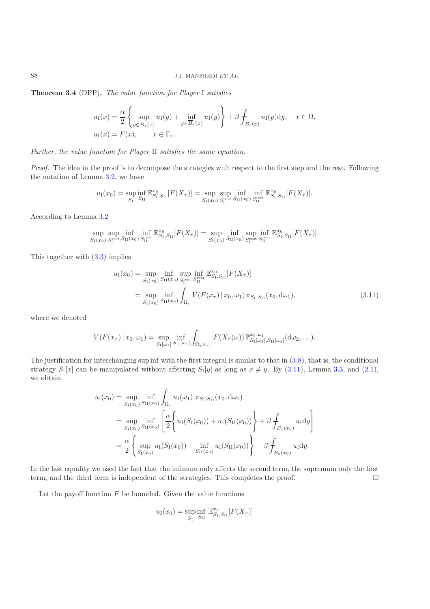**Theorem 3.4** (DPP)**.** *The value function for Player* I *satisfies*

$$
u_{\mathrm{I}}(x) = \frac{\alpha}{2} \left\{ \sup_{y \in \overline{B}_{\varepsilon}(x)} u_{\mathrm{I}}(y) + \inf_{y \in \overline{B}_{\varepsilon}(x)} u_{\mathrm{I}}(y) \right\} + \beta \int_{B_{\varepsilon}(x)} u_{\mathrm{I}}(y) \mathrm{d}y, \quad x \in \Omega,
$$
  

$$
u_{\mathrm{I}}(x) = F(x), \qquad x \in \Gamma_{\varepsilon}.
$$

*Further, the value function for Player* II *satisfies the same equation.*

*Proof.* The idea in the proof is to decompose the strategies with respect to the first step and the rest. Following the notation of Lemma [3.2,](#page-4-2) we have

$$
u_{\rm I}(x_0) = \sup_{S_{\rm I}} \inf_{S_{\rm II}} \mathbb{E}_{S_{\rm I},S_{\rm II}}^{\mathcal{X}_0}[F(X_{\tau})] = \sup_{S_{\rm I}(x_0)} \sup_{S_{\rm I}^{\rm rest}} \inf_{S_{\rm II}(x_0)} \inf_{S_{\rm II}^{\rm rest}} \mathbb{E}_{S_{\rm I},S_{\rm II}}^{\mathcal{X}_0}[F(X_{\tau})].
$$

According to Lemma [3.2](#page-4-2)

$$
\sup_{S_I(x_0)} \sup_{S_I^{\text{rest}}} \inf_{S_{II}(x_0)} \inf_{S_{II}^{\text{rest}}} \mathbb{E}_{S_I, S_{II}}^{x_0}[F(X_\tau)] = \sup_{S_I(x_0)} \inf_{S_{II}(x_0)} \sup_{S_I^{\text{rest}}} \inf_{S_{II}^{\text{rest}}} \mathbb{E}_{S_I, S_{II}}^{x_0}[F(X_\tau)].
$$

This together with [\(3.3\)](#page-3-3) implies

$$
u_{\rm I}(x_0) = \sup_{S_{\rm I}(x_0)} \inf_{S_{\rm II}(x_0)} \sup_{S_{\rm I}^{\rm rest}} \inf_{S_{\rm II}^{\rm rest}} \mathbb{E}_{S_{\rm I}, S_{\rm II}}^{x_0} [F(X_{\tau})]
$$
  
= 
$$
\sup_{S_{\rm I}(x_0)} \inf_{S_{\rm II}(x_0)} \int_{\Omega_{\varepsilon}} V(F(x_{\tau}) | x_0, \omega_1) \pi_{S_{\rm I}, S_{\rm II}}(x_0, d\omega_1),
$$
 (3.11)

<span id="page-7-0"></span>where we denoted

$$
V(F(x_{\tau}) \mid x_0, \omega_1) = \sup_{S_{\mathrm{I}}[\omega_1]} \inf_{S_{\mathrm{II}}[\omega_1]} \int_{\Omega_{\varepsilon} \times \dots} F(X_{\tau}(\omega)) \, \mathbb{P}_{S_{\mathrm{I}}[\omega_1], S_{\mathrm{II}}[\omega_1]}^{x_0, \omega_1}(\mathrm{d}\omega_2, \dots).
$$

The justification for interchanging sup inf with the first integral is similar to that in  $(3.8)$ , that is, the conditional strategy  $S_I[x]$  can be manipulated without affecting  $S_I[y]$  as long as  $x \neq y$ . By [\(3.11\)](#page-7-0), Lemma [3.3,](#page-5-1) and [\(2.1\)](#page-2-0), we obtain

$$
u_{\rm I}(x_0) = \sup_{S_{\rm I}(x_0)} \inf_{S_{\rm II}(x_0)} \int_{\Omega_{\epsilon}} u_{\rm I}(\omega_1) \pi_{S_{\rm I},S_{\rm II}}(x_0, d\omega_1)
$$
  
\n
$$
= \sup_{S_{\rm I}(x_0)} \inf_{S_{\rm II}(x_0)} \left[ \frac{\alpha}{2} \left\{ u_{\rm I}(S_{\rm I}(x_0)) + u_{\rm I}(S_{\rm II}(x_0)) \right\} + \beta \int_{B_{\epsilon}(x_0)} u_{\rm I} \mathrm{d}y \right]
$$
  
\n
$$
= \frac{\alpha}{2} \left\{ \sup_{S_{\rm I}(x_0)} u_{\rm I}(S_{\rm I}(x_0)) + \inf_{S_{\rm II}(x_0)} u_{\rm I}(S_{\rm II}(x_0)) \right\} + \beta \int_{B_{\epsilon}(x_0)} u_{\rm I} \mathrm{d}y.
$$

In the last equality we used the fact that the infimum only affects the second term, the supremum only the first term, and the third term is independent of the strategies. This completes the proof.  $\Box$ 

Let the payoff function  $F$  be bounded. Given the value functions

$$
u_{\rm I}(x_0) = \sup_{S_{\rm I}} \inf_{S_{\rm II}} \mathbb{E}_{S_{\rm I},S_{\rm II}}^{x_0}[F(X_{\tau})]
$$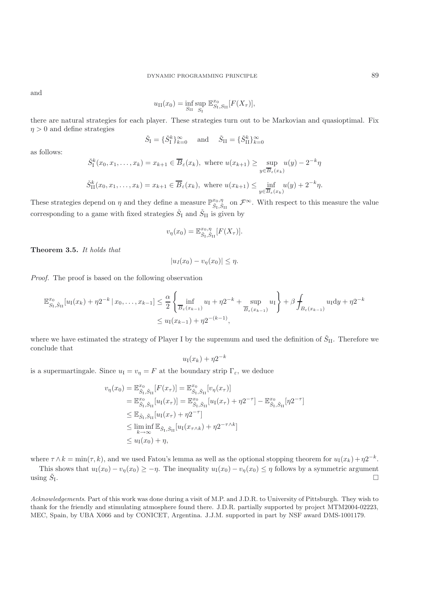and

$$
u_{\rm II}(x_0)=\inf_{S_{\rm II}}\sup_{S_{\rm I}}\, \mathbb{E}_{S_{\rm I},S_{\rm II}}^{x_0}[F(X_{\tau})],
$$

there are natural strategies for each player. These strategies turn out to be Markovian and quasioptimal. Fix  $\eta > 0$  and define strategies

$$
\check{S}_{\mathrm{I}} = \{\check{S}_{\mathrm{I}}^k\}_{k=0}^\infty \quad \text{and} \quad \check{S}_{\mathrm{II}} = \{\check{S}_{\mathrm{II}}^k\}_{k=0}^\infty
$$

as follows:

$$
\check{S}_{\mathrm{I}}^{k}(x_{0}, x_{1}, \ldots, x_{k}) = x_{k+1} \in \overline{B}_{\varepsilon}(x_{k}), \text{ where } u(x_{k+1}) \ge \sup_{y \in \overline{B}_{\varepsilon}(x_{k})} u(y) - 2^{-k}\eta
$$
  

$$
\check{S}_{\mathrm{II}}^{k}(x_{0}, x_{1}, \ldots, x_{k}) = x_{k+1} \in \overline{B}_{\varepsilon}(x_{k}), \text{ where } u(x_{k+1}) \le \inf_{y \in \overline{B}_{\varepsilon}(x_{k})} u(y) + 2^{-k}\eta.
$$

These strategies depend on  $\eta$  and they define a measure  $\mathbb{P}_{\check{S}_I,\check{S}_{II}}^{x_0,\eta}$  on  $\mathcal{F}^{\infty}$ . With respect to this measure the value corresponding to a game with fixed strategies  $\check{S}_I$  and  $\check{S}_{II}$  is given by

$$
v_{\eta}(x_0) = \mathbb{E}_{\check{S}_I, \check{S}_{II}}^{x_0, \eta} [F(X_{\tau})].
$$

**Theorem 3.5.** *It holds that*

$$
|u_I(x_0) - v_\eta(x_0)| \le \eta.
$$

*Proof.* The proof is based on the following observation

$$
\mathbb{E}_{S_1, \check{S}_{II}}^{x_0}[u_1(x_k) + \eta 2^{-k} | x_0, \dots, x_{k-1}] \leq \frac{\alpha}{2} \left\{ \inf_{\overline{B}_{\varepsilon}(x_{k-1})} u_1 + \eta 2^{-k} + \sup_{\overline{B}_{\varepsilon}(x_{k-1})} u_1 \right\} + \beta \int_{B_{\varepsilon}(x_{k-1})} u_1 dy + \eta 2^{-k} \leq u_1(x_{k-1}) + \eta 2^{-(k-1)},
$$

where we have estimated the strategy of Player I by the supremum and used the definition of  $\check{S}_{II}$ . Therefore we conclude that

$$
u_{\rm I}(x_k)+\eta 2^{-k}
$$

is a supermartingale. Since  $u_I = v_{\eta} = F$  at the boundary strip  $\Gamma_{\varepsilon}$ , we deduce

$$
v_{\eta}(x_0) = \mathbb{E}_{\tilde{S}_1, \tilde{S}_{II}}^{\tilde{x}_0}[F(x_{\tau})] = \mathbb{E}_{\tilde{S}_1, \tilde{S}_{II}}^{\tilde{x}_0}[v_{\eta}(x_{\tau})]
$$
  
\n
$$
= \mathbb{E}_{\tilde{S}_1, \tilde{S}_{II}}^{\tilde{x}_0}[u_I(x_{\tau})] = \mathbb{E}_{\tilde{S}_1, \tilde{S}_{II}}^{\tilde{x}_0}[u_I(x_{\tau}) + \eta 2^{-\tau}] - \mathbb{E}_{\tilde{S}_1, \tilde{S}_{II}}^{\tilde{x}_0}[\eta 2^{-\tau}]
$$
  
\n
$$
\leq \mathbb{E}_{\tilde{S}_1, \tilde{S}_{II}}[u_I(x_{\tau}) + \eta 2^{-\tau}]
$$
  
\n
$$
\leq \liminf_{k \to \infty} \mathbb{E}_{\tilde{S}_1, \tilde{S}_{II}}[u_I(x_{\tau \wedge k}) + \eta 2^{-\tau \wedge k}]
$$
  
\n
$$
\leq u_I(x_0) + \eta,
$$

where  $\tau \wedge k = \min(\tau, k)$ , and we used Fatou's lemma as well as the optional stopping theorem for  $u_1(x_k) + \eta 2^{-k}$ .

This shows that  $u_1(x_0) - v_\eta(x_0) \geq -\eta$ . The inequality  $u_1(x_0) - v_\eta(x_0) \leq \eta$  follows by a symmetric argument using  $\check{S}_I$ .

*Acknowledgements*. Part of this work was done during a visit of M.P. and J.D.R. to University of Pittsburgh. They wish to thank for the friendly and stimulating atmosphere found there. J.D.R. partially supported by project MTM2004-02223, MEC, Spain, by UBA X066 and by CONICET, Argentina. J.J.M. supported in part by NSF award DMS-1001179.